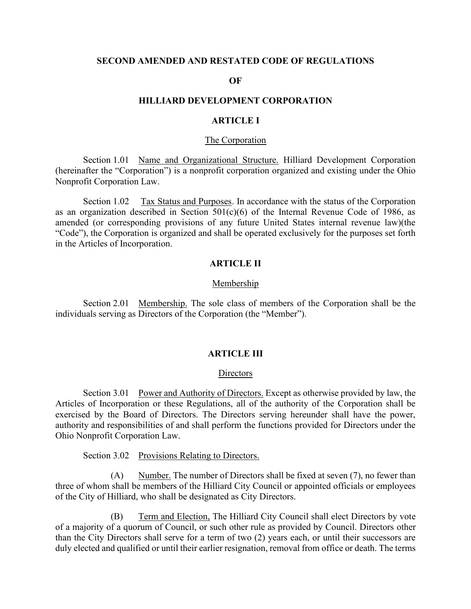### **SECOND AMENDED AND RESTATED CODE OF REGULATIONS**

### **OF**

## **HILLIARD DEVELOPMENT CORPORATION**

# **ARTICLE I**

### The Corporation

Section 1.01 Name and Organizational Structure. Hilliard Development Corporation (hereinafter the "Corporation") is a nonprofit corporation organized and existing under the Ohio Nonprofit Corporation Law.

Section 1.02 Tax Status and Purposes. In accordance with the status of the Corporation as an organization described in Section  $501(c)(6)$  of the Internal Revenue Code of 1986, as amended (or corresponding provisions of any future United States internal revenue law)(the "Code"), the Corporation is organized and shall be operated exclusively for the purposes set forth in the Articles of Incorporation.

# **ARTICLE II**

## Membership

Section 2.01 Membership. The sole class of members of the Corporation shall be the individuals serving as Directors of the Corporation (the "Member").

### **ARTICLE III**

#### **Directors**

Section 3.01 Power and Authority of Directors. Except as otherwise provided by law, the Articles of Incorporation or these Regulations, all of the authority of the Corporation shall be exercised by the Board of Directors. The Directors serving hereunder shall have the power, authority and responsibilities of and shall perform the functions provided for Directors under the Ohio Nonprofit Corporation Law.

Section 3.02 Provisions Relating to Directors.

(A) Number. The number of Directors shall be fixed at seven (7), no fewer than three of whom shall be members of the Hilliard City Council or appointed officials or employees of the City of Hilliard, who shall be designated as City Directors.

(B) Term and Election, The Hilliard City Council shall elect Directors by vote of a majority of a quorum of Council, or such other rule as provided by Council. Directors other than the City Directors shall serve for a term of two (2) years each, or until their successors are duly elected and qualified or until their earlier resignation, removal from office or death. The terms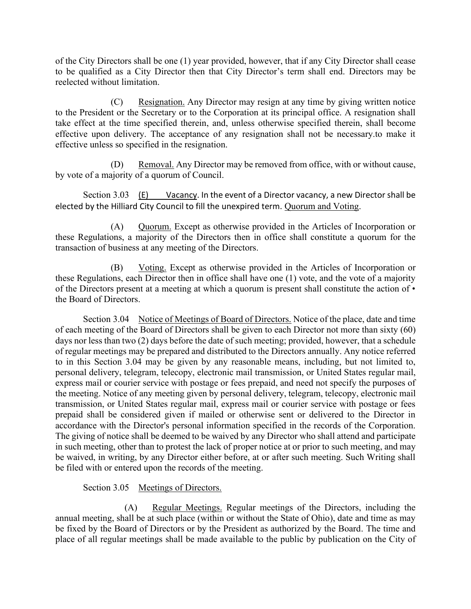of the City Directors shall be one (1) year provided, however, that if any City Director shall cease to be qualified as a City Director then that City Director's term shall end. Directors may be reelected without limitation.

(C) Resignation. Any Director may resign at any time by giving written notice to the President or the Secretary or to the Corporation at its principal office. A resignation shall take effect at the time specified therein, and, unless otherwise specified therein, shall become effective upon delivery. The acceptance of any resignation shall not be necessary.to make it effective unless so specified in the resignation.

(D) Removal. Any Director may be removed from office, with or without cause, by vote of a majority of a quorum of Council.

Section 3.03 (E) Vacancy. In the event of a Director vacancy, a new Director shall be elected by the Hilliard City Council to fill the unexpired term. Quorum and Voting.

(A) Quorum. Except as otherwise provided in the Articles of Incorporation or these Regulations, a majority of the Directors then in office shall constitute a quorum for the transaction of business at any meeting of the Directors.

(B) Voting. Except as otherwise provided in the Articles of Incorporation or these Regulations, each Director then in office shall have one (1) vote, and the vote of a majority of the Directors present at a meeting at which a quorum is present shall constitute the action of • the Board of Directors.

Section 3.04 Notice of Meetings of Board of Directors. Notice of the place, date and time of each meeting of the Board of Directors shall be given to each Director not more than sixty (60) days nor less than two (2) days before the date of such meeting; provided, however, that a schedule of regular meetings may be prepared and distributed to the Directors annually. Any notice referred to in this Section 3.04 may be given by any reasonable means, including, but not limited to, personal delivery, telegram, telecopy, electronic mail transmission, or United States regular mail, express mail or courier service with postage or fees prepaid, and need not specify the purposes of the meeting. Notice of any meeting given by personal delivery, telegram, telecopy, electronic mail transmission, or United States regular mail, express mail or courier service with postage or fees prepaid shall be considered given if mailed or otherwise sent or delivered to the Director in accordance with the Director's personal information specified in the records of the Corporation. The giving of notice shall be deemed to be waived by any Director who shall attend and participate in such meeting, other than to protest the lack of proper notice at or prior to such meeting, and may be waived, in writing, by any Director either before, at or after such meeting. Such Writing shall be filed with or entered upon the records of the meeting.

# Section 3.05 Meetings of Directors.

(A) Regular Meetings. Regular meetings of the Directors, including the annual meeting, shall be at such place (within or without the State of Ohio), date and time as may be fixed by the Board of Directors or by the President as authorized by the Board. The time and place of all regular meetings shall be made available to the public by publication on the City of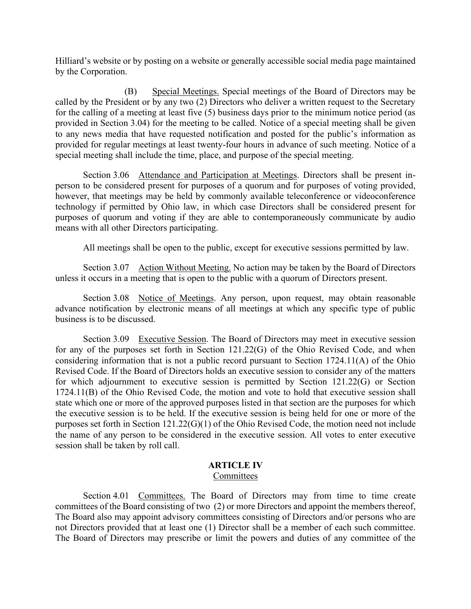Hilliard's website or by posting on a website or generally accessible social media page maintained by the Corporation.

(B) Special Meetings. Special meetings of the Board of Directors may be called by the President or by any two (2) Directors who deliver a written request to the Secretary for the calling of a meeting at least five (5) business days prior to the minimum notice period (as provided in Section 3.04) for the meeting to be called. Notice of a special meeting shall be given to any news media that have requested notification and posted for the public's information as provided for regular meetings at least twenty-four hours in advance of such meeting. Notice of a special meeting shall include the time, place, and purpose of the special meeting.

Section 3.06 Attendance and Participation at Meetings. Directors shall be present inperson to be considered present for purposes of a quorum and for purposes of voting provided, however, that meetings may be held by commonly available teleconference or videoconference technology if permitted by Ohio law, in which case Directors shall be considered present for purposes of quorum and voting if they are able to contemporaneously communicate by audio means with all other Directors participating.

All meetings shall be open to the public, except for executive sessions permitted by law.

Section 3.07 Action Without Meeting. No action may be taken by the Board of Directors unless it occurs in a meeting that is open to the public with a quorum of Directors present.

Section 3.08 Notice of Meetings. Any person, upon request, may obtain reasonable advance notification by electronic means of all meetings at which any specific type of public business is to be discussed.

Section 3.09 Executive Session. The Board of Directors may meet in executive session for any of the purposes set forth in Section 121.22(G) of the Ohio Revised Code, and when considering information that is not a public record pursuant to Section 1724.11(A) of the Ohio Revised Code. If the Board of Directors holds an executive session to consider any of the matters for which adjournment to executive session is permitted by Section 121.22(G) or Section 1724.11(B) of the Ohio Revised Code, the motion and vote to hold that executive session shall state which one or more of the approved purposes listed in that section are the purposes for which the executive session is to be held. If the executive session is being held for one or more of the purposes set forth in Section 121.22(G)(1) of the Ohio Revised Code, the motion need not include the name of any person to be considered in the executive session. All votes to enter executive session shall be taken by roll call.

## **ARTICLE IV** Committees

Section 4.01 Committees. The Board of Directors may from time to time create committees of the Board consisting of two (2) or more Directors and appoint the members thereof, The Board also may appoint advisory committees consisting of Directors and/or persons who are not Directors provided that at least one (1) Director shall be a member of each such committee. The Board of Directors may prescribe or limit the powers and duties of any committee of the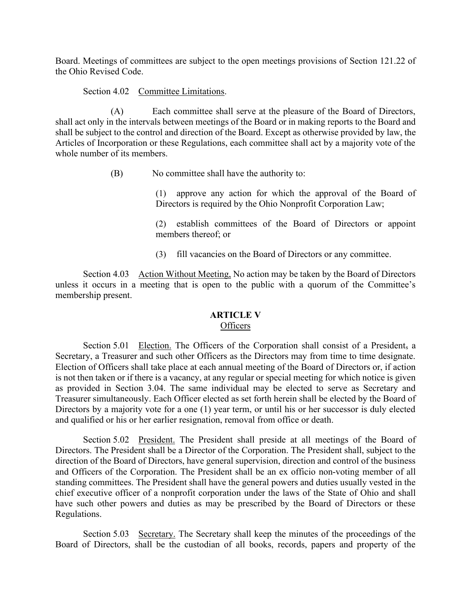Board. Meetings of committees are subject to the open meetings provisions of Section 121.22 of the Ohio Revised Code.

Section 4.02 Committee Limitations.

(A) Each committee shall serve at the pleasure of the Board of Directors, shall act only in the intervals between meetings of the Board or in making reports to the Board and shall be subject to the control and direction of the Board. Except as otherwise provided by law, the Articles of Incorporation or these Regulations, each committee shall act by a majority vote of the whole number of its members.

(B) No committee shall have the authority to:

(1) approve any action for which the approval of the Board of Directors is required by the Ohio Nonprofit Corporation Law;

(2) establish committees of the Board of Directors or appoint members thereof; or

(3) fill vacancies on the Board of Directors or any committee.

Section 4.03 Action Without Meeting, No action may be taken by the Board of Directors unless it occurs in a meeting that is open to the public with a quorum of the Committee's membership present.

# **ARTICLE V Officers**

Section 5.01 Election. The Officers of the Corporation shall consist of a President, a Secretary, a Treasurer and such other Officers as the Directors may from time to time designate. Election of Officers shall take place at each annual meeting of the Board of Directors or, if action is not then taken or if there is a vacancy, at any regular or special meeting for which notice is given as provided in Section 3.04. The same individual may be elected to serve as Secretary and Treasurer simultaneously. Each Officer elected as set forth herein shall be elected by the Board of Directors by a majority vote for a one (1) year term, or until his or her successor is duly elected and qualified or his or her earlier resignation, removal from office or death.

Section 5.02 President. The President shall preside at all meetings of the Board of Directors. The President shall be a Director of the Corporation. The President shall, subject to the direction of the Board of Directors, have general supervision, direction and control of the business and Officers of the Corporation. The President shall be an ex officio non-voting member of all standing committees. The President shall have the general powers and duties usually vested in the chief executive officer of a nonprofit corporation under the laws of the State of Ohio and shall have such other powers and duties as may be prescribed by the Board of Directors or these Regulations.

Section 5.03 Secretary. The Secretary shall keep the minutes of the proceedings of the Board of Directors, shall be the custodian of all books, records, papers and property of the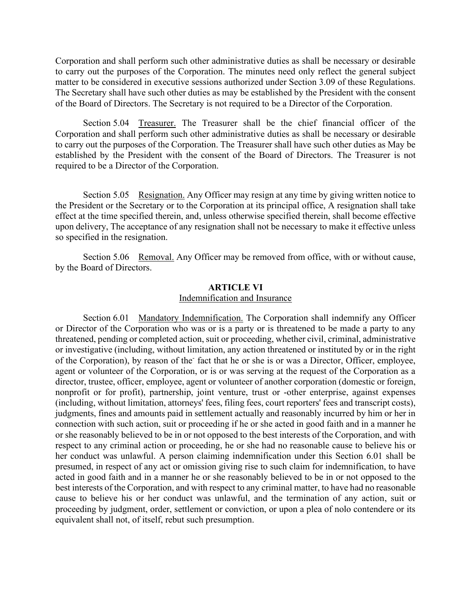Corporation and shall perform such other administrative duties as shall be necessary or desirable to carry out the purposes of the Corporation. The minutes need only reflect the general subject matter to be considered in executive sessions authorized under Section 3.09 of these Regulations. The Secretary shall have such other duties as may be established by the President with the consent of the Board of Directors. The Secretary is not required to be a Director of the Corporation.

Section 5.04 Treasurer. The Treasurer shall be the chief financial officer of the Corporation and shall perform such other administrative duties as shall be necessary or desirable to carry out the purposes of the Corporation. The Treasurer shall have such other duties as May be established by the President with the consent of the Board of Directors. The Treasurer is not required to be a Director of the Corporation.

Section 5.05 Resignation. Any Officer may resign at any time by giving written notice to the President or the Secretary or to the Corporation at its principal office, A resignation shall take effect at the time specified therein, and, unless otherwise specified therein, shall become effective upon delivery, The acceptance of any resignation shall not be necessary to make it effective unless so specified in the resignation.

Section 5.06 Removal. Any Officer may be removed from office, with or without cause, by the Board of Directors.

# **ARTICLE VI**

# Indemnification and Insurance

Section 6.01 Mandatory Indemnification. The Corporation shall indemnify any Officer or Director of the Corporation who was or is a party or is threatened to be made a party to any threatened, pending or completed action, suit or proceeding, whether civil, criminal, administrative or investigative (including, without limitation, any action threatened or instituted by or in the right of the Corporation), by reason of the fact that he or she is or was a Director, Officer, employee, agent or volunteer of the Corporation, or is or was serving at the request of the Corporation as a director, trustee, officer, employee, agent or volunteer of another corporation (domestic or foreign, nonprofit or for profit), partnership, joint venture, trust or -other enterprise, against expenses (including, without limitation, attorneys' fees, filing fees, court reporters' fees and transcript costs), judgments, fines and amounts paid in settlement actually and reasonably incurred by him or her in connection with such action, suit or proceeding if he or she acted in good faith and in a manner he or she reasonably believed to be in or not opposed to the best interests of the Corporation, and with respect to any criminal action or proceeding, he or she had no reasonable cause to believe his or her conduct was unlawful. A person claiming indemnification under this Section 6.01 shall be presumed, in respect of any act or omission giving rise to such claim for indemnification, to have acted in good faith and in a manner he or she reasonably believed to be in or not opposed to the best interests of the Corporation, and with respect to any criminal matter, to have had no reasonable cause to believe his or her conduct was unlawful, and the termination of any action, suit or proceeding by judgment, order, settlement or conviction, or upon a plea of nolo contendere or its equivalent shall not, of itself, rebut such presumption.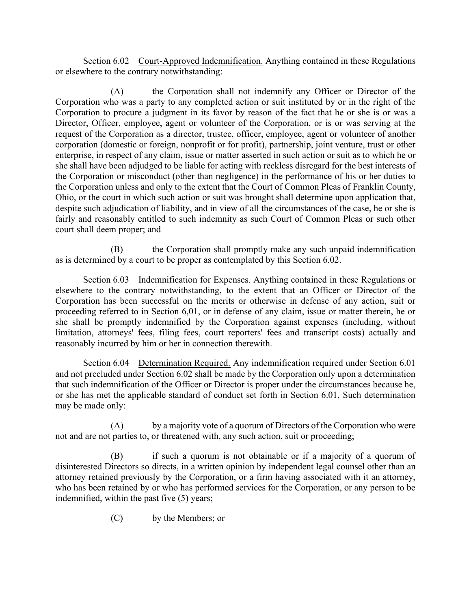Section 6.02 Court-Approved Indemnification. Anything contained in these Regulations or elsewhere to the contrary notwithstanding:

(A) the Corporation shall not indemnify any Officer or Director of the Corporation who was a party to any completed action or suit instituted by or in the right of the Corporation to procure a judgment in its favor by reason of the fact that he or she is or was a Director, Officer, employee, agent or volunteer of the Corporation, or is or was serving at the request of the Corporation as a director, trustee, officer, employee, agent or volunteer of another corporation (domestic or foreign, nonprofit or for profit), partnership, joint venture, trust or other enterprise, in respect of any claim, issue or matter asserted in such action or suit as to which he or she shall have been adjudged to be liable for acting with reckless disregard for the best interests of the Corporation or misconduct (other than negligence) in the performance of his or her duties to the Corporation unless and only to the extent that the Court of Common Pleas of Franklin County, Ohio, or the court in which such action or suit was brought shall determine upon application that, despite such adjudication of liability, and in view of all the circumstances of the case, he or she is fairly and reasonably entitled to such indemnity as such Court of Common Pleas or such other court shall deem proper; and

(B) the Corporation shall promptly make any such unpaid indemnification as is determined by a court to be proper as contemplated by this Section 6.02.

Section 6.03 Indemnification for Expenses. Anything contained in these Regulations or elsewhere to the contrary notwithstanding, to the extent that an Officer or Director of the Corporation has been successful on the merits or otherwise in defense of any action, suit or proceeding referred to in Section 6,01, or in defense of any claim, issue or matter therein, he or she shall be promptly indemnified by the Corporation against expenses (including, without limitation, attorneys' fees, filing fees, court reporters' fees and transcript costs) actually and reasonably incurred by him or her in connection therewith.

Section 6.04 Determination Required. Any indemnification required under Section 6.01 and not precluded under Section 6.02 shall be made by the Corporation only upon a determination that such indemnification of the Officer or Director is proper under the circumstances because he, or she has met the applicable standard of conduct set forth in Section 6.01, Such determination may be made only:

(A) by a majority vote of a quorum of Directors of the Corporation who were not and are not parties to, or threatened with, any such action, suit or proceeding;

(B) if such a quorum is not obtainable or if a majority of a quorum of disinterested Directors so directs, in a written opinion by independent legal counsel other than an attorney retained previously by the Corporation, or a firm having associated with it an attorney, who has been retained by or who has performed services for the Corporation, or any person to be indemnified, within the past five (5) years;

(C) by the Members; or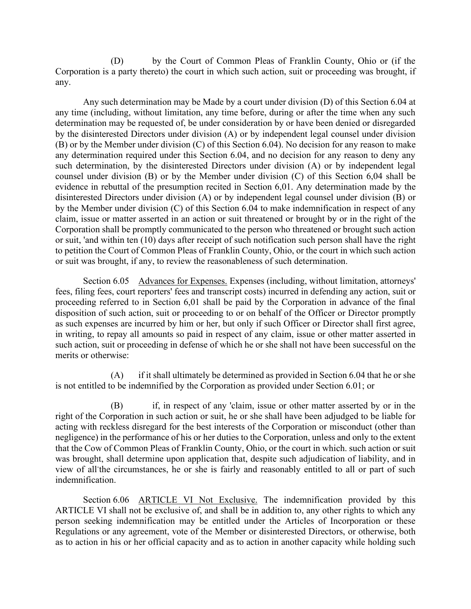(D) by the Court of Common Pleas of Franklin County, Ohio or (if the Corporation is a party thereto) the court in which such action, suit or proceeding was brought, if any.

Any such determination may be Made by a court under division (D) of this Section 6.04 at any time (including, without limitation, any time before, during or after the time when any such determination may be requested of, be under consideration by or have been denied or disregarded by the disinterested Directors under division (A) or by independent legal counsel under division (B) or by the Member under division (C) of this Section 6.04). No decision for any reason to make any determination required under this Section 6.04, and no decision for any reason to deny any such determination, by the disinterested Directors under division (A) or by independent legal counsel under division (B) or by the Member under division (C) of this Section 6,04 shall be evidence in rebuttal of the presumption recited in Section 6,01. Any determination made by the disinterested Directors under division (A) or by independent legal counsel under division (B) or by the Member under division (C) of this Section 6.04 to make indemnification in respect of any claim, issue or matter asserted in an action or suit threatened or brought by or in the right of the Corporation shall be promptly communicated to the person who threatened or brought such action or suit, 'and within ten (10) days after receipt of such notification such person shall have the right to petition the Court of Common Pleas of Franklin County, Ohio, or the court in which such action or suit was brought, if any, to review the reasonableness of such determination.

Section 6.05 Advances for Expenses. Expenses (including, without limitation, attorneys' fees, filing fees, court reporters' fees and transcript costs) incurred in defending any action, suit or proceeding referred to in Section 6,01 shall be paid by the Corporation in advance of the final disposition of such action, suit or proceeding to or on behalf of the Officer or Director promptly as such expenses are incurred by him or her, but only if such Officer or Director shall first agree, in writing, to repay all amounts so paid in respect of any claim, issue or other matter asserted in such action, suit or proceeding in defense of which he or she shall not have been successful on the merits or otherwise:

(A) if it shall ultimately be determined as provided in Section 6.04 that he or she is not entitled to be indemnified by the Corporation as provided under Section 6.01; or

(B) if, in respect of any 'claim, issue or other matter asserted by or in the right of the Corporation in such action or suit, he or she shall have been adjudged to be liable for acting with reckless disregard for the best interests of the Corporation or misconduct (other than negligence) in the performance of his or her duties to the Corporation, unless and only to the extent that the Cow of Common Pleas of Franklin County, Ohio, or the court in which. such action or suit was brought, shall determine upon application that, despite such adjudication of liability, and in view of all the circumstances, he or she is fairly and reasonably entitled to all or part of such indemnification.

Section 6.06 ARTICLE VI Not Exclusive. The indemnification provided by this ARTICLE VI shall not be exclusive of, and shall be in addition to, any other rights to which any person seeking indemnification may be entitled under the Articles of Incorporation or these Regulations or any agreement, vote of the Member or disinterested Directors, or otherwise, both as to action in his or her official capacity and as to action in another capacity while holding such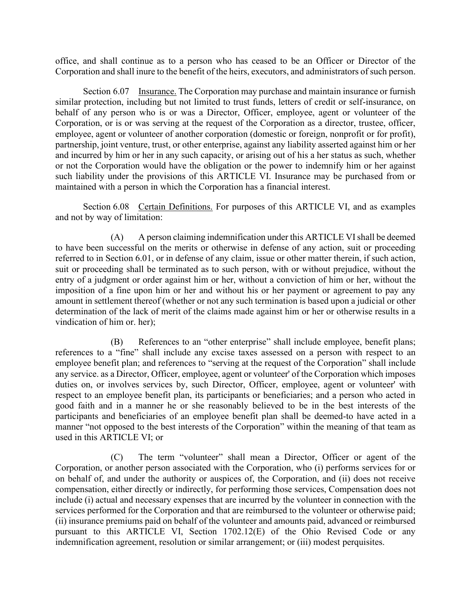office, and shall continue as to a person who has ceased to be an Officer or Director of the Corporation and shall inure to the benefit of the heirs, executors, and administrators of such person.

Section 6.07 Insurance. The Corporation may purchase and maintain insurance or furnish similar protection, including but not limited to trust funds, letters of credit or self-insurance, on behalf of any person who is or was a Director, Officer, employee, agent or volunteer of the Corporation, or is or was serving at the request of the Corporation as a director, trustee, officer, employee, agent or volunteer of another corporation (domestic or foreign, nonprofit or for profit), partnership, joint venture, trust, or other enterprise, against any liability asserted against him or her and incurred by him or her in any such capacity, or arising out of his a her status as such, whether or not the Corporation would have the obligation or the power to indemnify him or her against such liability under the provisions of this ARTICLE VI. Insurance may be purchased from or maintained with a person in which the Corporation has a financial interest.

Section 6.08 Certain Definitions. For purposes of this ARTICLE VI, and as examples and not by way of limitation:

(A) A person claiming indemnification under this ARTICLE VI shall be deemed to have been successful on the merits or otherwise in defense of any action, suit or proceeding referred to in Section 6.01, or in defense of any claim, issue or other matter therein, if such action, suit or proceeding shall be terminated as to such person, with or without prejudice, without the entry of a judgment or order against him or her, without a conviction of him or her, without the imposition of a fine upon him or her and without his or her payment or agreement to pay any amount in settlement thereof (whether or not any such termination is based upon a judicial or other determination of the lack of merit of the claims made against him or her or otherwise results in a vindication of him or. her);

(B) References to an "other enterprise" shall include employee, benefit plans; references to a "fine" shall include any excise taxes assessed on a person with respect to an employee benefit plan; and references to "serving at the request of the Corporation" shall include any service. as a Director, Officer, employee, agent or volunteer' of the Corporation which imposes duties on, or involves services by, such Director, Officer, employee, agent or volunteer' with respect to an employee benefit plan, its participants or beneficiaries; and a person who acted in good faith and in a manner he or she reasonably believed to be in the best interests of the participants and beneficiaries of an employee benefit plan shall be deemed-to have acted in a manner "not opposed to the best interests of the Corporation" within the meaning of that team as used in this ARTICLE VI; or

(C) The term "volunteer" shall mean a Director, Officer or agent of the Corporation, or another person associated with the Corporation, who (i) performs services for or on behalf of, and under the authority or auspices of, the Corporation, and (ii) does not receive compensation, either directly or indirectly, for performing those services, Compensation does not include (i) actual and necessary expenses that are incurred by the volunteer in connection with the services performed for the Corporation and that are reimbursed to the volunteer or otherwise paid; (ii) insurance premiums paid on behalf of the volunteer and amounts paid, advanced or reimbursed pursuant to this ARTICLE VI, Section 1702.12(E) of the Ohio Revised Code or any indemnification agreement, resolution or similar arrangement; or (iii) modest perquisites.